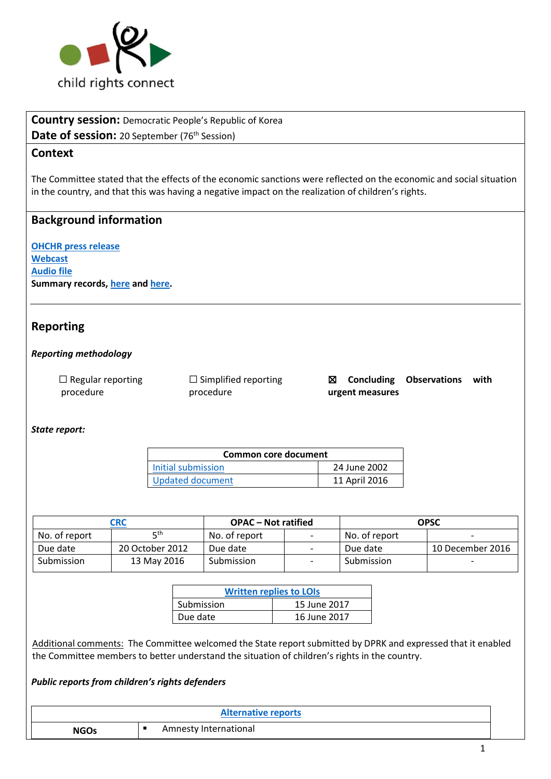

**Country session:** Democratic People's Republic of Korea

**Date of session:** 20 September (76<sup>th</sup> Session)

## **Context**

The Committee stated that the effects of the economic sanctions were reflected on the economic and social situation in the country, and that this was having a negative impact on the realization of children's rights.

## **Background information**

**[OHCHR press release](http://www.ohchr.org/EN/NewsEvents/Pages/DisplayNews.aspx?NewsID=22120&LangID=E) [Webcast](http://webtv.un.org/meetings-events/human-rights-treaty-bodies/committee-on-the-rights-of-the-child/watch/consideration-of-democratic-peoples-republic-of-korea-2236th-meeting-76th-session-committee-on-the-rights-of-the-child/5581938750001) [Audio file](http://conf.unog.ch/digitalrecordings/) Summary records, [here](http://tbinternet.ohchr.org/_layouts/treatybodyexternal/Download.aspx?symbolno=CRC%2fC%2fSR.2236&Lang=en) an[d here.](http://tbinternet.ohchr.org/_layouts/treatybodyexternal/Download.aspx?symbolno=CRC%2fC%2fSR.2237&Lang=en)**

### **Reporting**

#### *Reporting methodology*

 $\Box$  Regular reporting procedure ☐ Simplified reporting procedure

☒ **Concluding Observations with urgent measures**

#### *State report:*

| <b>Common core document</b> |               |  |  |
|-----------------------------|---------------|--|--|
| Initial submission          | 24 June 2002  |  |  |
| <b>Updated document</b>     | 11 April 2016 |  |  |

| CRC           |                 | <b>OPAC</b> – Not ratified |  | <b>OPSC</b>   |                          |
|---------------|-----------------|----------------------------|--|---------------|--------------------------|
| No. of report | ⊏th             | No. of report              |  | No. of report | $\overline{\phantom{0}}$ |
| Due date      | 20 October 2012 | Due date                   |  | Due date      | 10 December 2016         |
| Submission    | 13 May 2016     | Submission                 |  | Submission    | $\overline{\phantom{0}}$ |

| <b>Written replies to LOIs</b> |              |  |  |
|--------------------------------|--------------|--|--|
| Submission                     | 15 June 2017 |  |  |
| Due date                       | 16 June 2017 |  |  |

Additional comments: The Committee welcomed the State report submitted by DPRK and expressed that it enabled the Committee members to better understand the situation of children's rights in the country.

#### *Public reports from children's rights defenders*

| <b>Alternative reports</b> |                       |  |
|----------------------------|-----------------------|--|
| <b>NGOs</b>                | Amnesty International |  |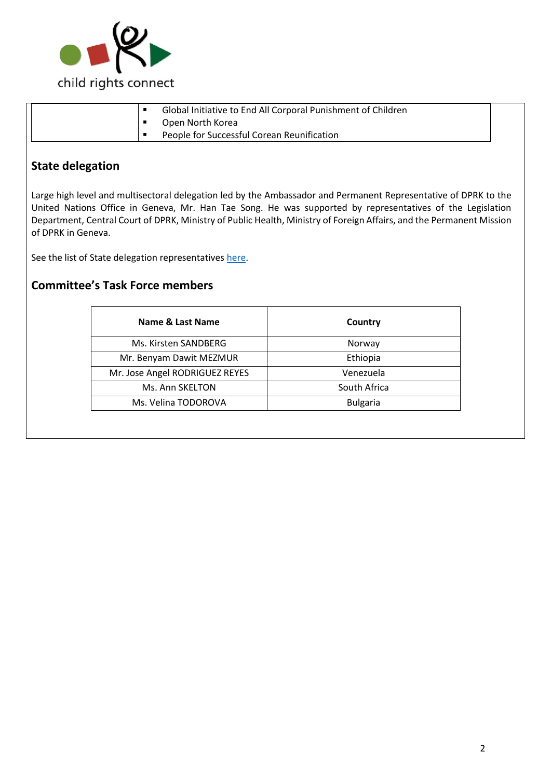

|  |   | Global Initiative to End All Corporal Punishment of Children |
|--|---|--------------------------------------------------------------|
|  |   | Open North Korea                                             |
|  | п | People for Successful Corean Reunification                   |

## **State delegation**

Large high level and multisectoral delegation led by the Ambassador and Permanent Representative of DPRK to the United Nations Office in Geneva, Mr. Han Tae Song. He was supported by representatives of the Legislation Department, Central Court of DPRK, Ministry of Public Health, Ministry of Foreign Affairs, and the Permanent Mission of DPRK in Geneva.

See the list of State delegation representatives [here.](http://tbinternet.ohchr.org/_layouts/treatybodyexternal/Download.aspx?symbolno=INT%2fCRC%2fLOP%2fPRK%2f28928&Lang=en)

### **Committee's Task Force members**

| Name & Last Name               | Country         |  |
|--------------------------------|-----------------|--|
| Ms. Kirsten SANDBERG           | Norway          |  |
| Mr. Benyam Dawit MEZMUR        | Ethiopia        |  |
| Mr. Jose Angel RODRIGUEZ REYES | Venezuela       |  |
| Ms. Ann SKELTON                | South Africa    |  |
| Ms. Velina TODOROVA            | <b>Bulgaria</b> |  |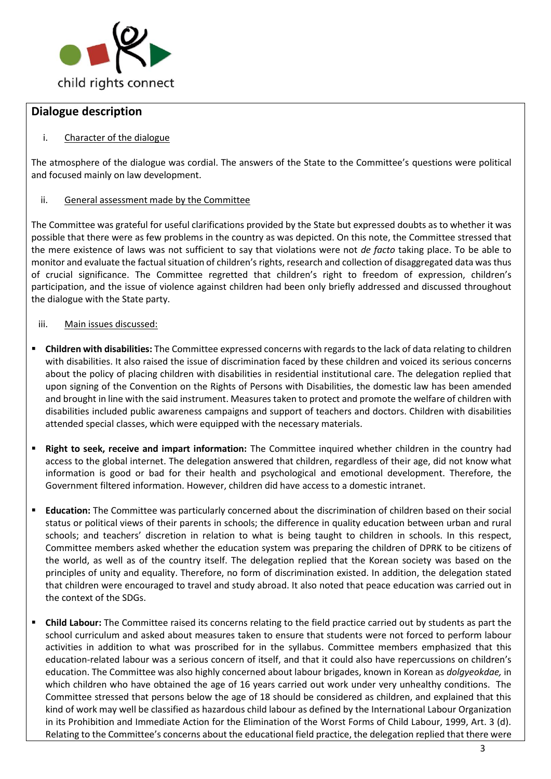

## **Dialogue description**

#### i. Character of the dialogue

The atmosphere of the dialogue was cordial. The answers of the State to the Committee's questions were political and focused mainly on law development.

#### ii. General assessment made by the Committee

The Committee was grateful for useful clarifications provided by the State but expressed doubts as to whether it was possible that there were as few problems in the country as was depicted. On this note, the Committee stressed that the mere existence of laws was not sufficient to say that violations were not *de facto* taking place. To be able to monitor and evaluate the factual situation of children's rights, research and collection of disaggregated data was thus of crucial significance. The Committee regretted that children's right to freedom of expression, children's participation, and the issue of violence against children had been only briefly addressed and discussed throughout the dialogue with the State party.

#### iii. Main issues discussed:

- **Children with disabilities:** The Committee expressed concerns with regards to the lack of data relating to children with disabilities. It also raised the issue of discrimination faced by these children and voiced its serious concerns about the policy of placing children with disabilities in residential institutional care. The delegation replied that upon signing of the Convention on the Rights of Persons with Disabilities, the domestic law has been amended and brought in line with the said instrument. Measures taken to protect and promote the welfare of children with disabilities included public awareness campaigns and support of teachers and doctors. Children with disabilities attended special classes, which were equipped with the necessary materials.
- **Right to seek, receive and impart information:** The Committee inquired whether children in the country had access to the global internet. The delegation answered that children, regardless of their age, did not know what information is good or bad for their health and psychological and emotional development. Therefore, the Government filtered information. However, children did have access to a domestic intranet.
- **Education:** The Committee was particularly concerned about the discrimination of children based on their social status or political views of their parents in schools; the difference in quality education between urban and rural schools; and teachers' discretion in relation to what is being taught to children in schools. In this respect, Committee members asked whether the education system was preparing the children of DPRK to be citizens of the world, as well as of the country itself. The delegation replied that the Korean society was based on the principles of unity and equality. Therefore, no form of discrimination existed. In addition, the delegation stated that children were encouraged to travel and study abroad. It also noted that peace education was carried out in the context of the SDGs.
- **EXTED THE COMMITTEE COMMITTEE RETATE IS CONCERNATE CONCOCOLD FIGURE COLLET** CONTERNATO At Spart the Committee rates of the concerns as part the school curriculum and asked about measures taken to ensure that students were not forced to perform labour activities in addition to what was proscribed for in the syllabus. Committee members emphasized that this education-related labour was a serious concern of itself, and that it could also have repercussions on children's education. The Committee was also highly concerned about labour brigades, known in Korean as *dolgyeokdae,* in which children who have obtained the age of 16 years carried out work under very unhealthy conditions. The Committee stressed that persons below the age of 18 should be considered as children, and explained that this kind of work may well be classified as hazardous child labour as defined by the International Labour Organization in its Prohibition and Immediate Action for the Elimination of the Worst Forms of Child Labour, 1999, Art. 3 (d). Relating to the Committee's concerns about the educational field practice, the delegation replied that there were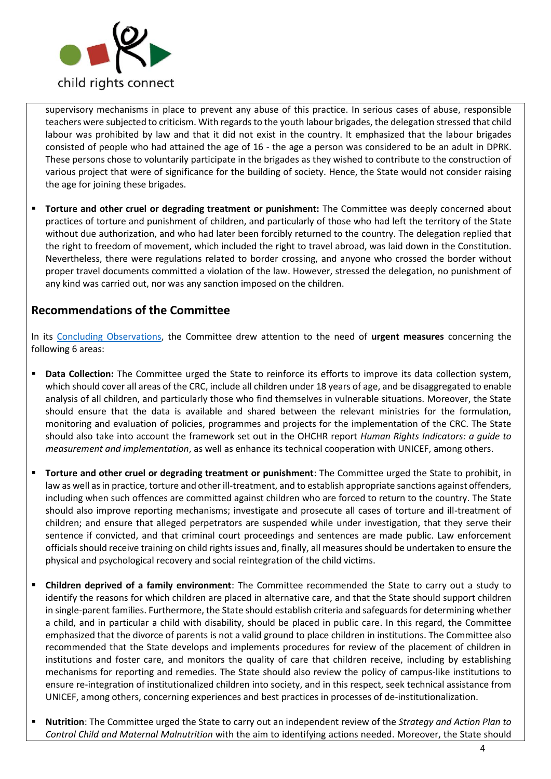

supervisory mechanisms in place to prevent any abuse of this practice. In serious cases of abuse, responsible teachers were subjected to criticism. With regards to the youth labour brigades, the delegation stressed that child labour was prohibited by law and that it did not exist in the country. It emphasized that the labour brigades consisted of people who had attained the age of 16 - the age a person was considered to be an adult in DPRK. These persons chose to voluntarily participate in the brigades as they wished to contribute to the construction of various project that were of significance for the building of society. Hence, the State would not consider raising the age for joining these brigades.

▪ **Torture and other cruel or degrading treatment or punishment:** The Committee was deeply concerned about practices of torture and punishment of children, and particularly of those who had left the territory of the State without due authorization, and who had later been forcibly returned to the country. The delegation replied that the right to freedom of movement, which included the right to travel abroad, was laid down in the Constitution. Nevertheless, there were regulations related to border crossing, and anyone who crossed the border without proper travel documents committed a violation of the law. However, stressed the delegation, no punishment of any kind was carried out, nor was any sanction imposed on the children.

## **Recommendations of the Committee**

In its [Concluding Observations,](http://tbinternet.ohchr.org/_layouts/treatybodyexternal/Download.aspx?symbolno=CRC%2fC%2fPRK%2fCO%2f5&Lang=en) the Committee drew attention to the need of **urgent measures** concerning the following 6 areas:

- **Data Collection:** The Committee urged the State to reinforce its efforts to improve its data collection system, which should cover all areas of the CRC, include all children under 18 years of age, and be disaggregated to enable analysis of all children, and particularly those who find themselves in vulnerable situations. Moreover, the State should ensure that the data is available and shared between the relevant ministries for the formulation, monitoring and evaluation of policies, programmes and projects for the implementation of the CRC. The State should also take into account the framework set out in the OHCHR report *Human Rights Indicators: a guide to measurement and implementation*, as well as enhance its technical cooperation with UNICEF, among others.
- **Torture and other cruel or degrading treatment or punishment**: The Committee urged the State to prohibit, in law as well as in practice, torture and other ill-treatment, and to establish appropriate sanctions against offenders, including when such offences are committed against children who are forced to return to the country. The State should also improve reporting mechanisms; investigate and prosecute all cases of torture and ill-treatment of children; and ensure that alleged perpetrators are suspended while under investigation, that they serve their sentence if convicted, and that criminal court proceedings and sentences are made public. Law enforcement officials should receive training on child rights issues and, finally, all measures should be undertaken to ensure the physical and psychological recovery and social reintegration of the child victims.
- **Children deprived of a family environment**: The Committee recommended the State to carry out a study to identify the reasons for which children are placed in alternative care, and that the State should support children in single-parent families. Furthermore, the State should establish criteria and safeguards for determining whether a child, and in particular a child with disability, should be placed in public care. In this regard, the Committee emphasized that the divorce of parents is not a valid ground to place children in institutions. The Committee also recommended that the State develops and implements procedures for review of the placement of children in institutions and foster care, and monitors the quality of care that children receive, including by establishing mechanisms for reporting and remedies. The State should also review the policy of campus-like institutions to ensure re-integration of institutionalized children into society, and in this respect, seek technical assistance from UNICEF, among others, concerning experiences and best practices in processes of de-institutionalization.
- **Nutrition**: The Committee urged the State to carry out an independent review of the *Strategy and Action Plan to Control Child and Maternal Malnutrition* with the aim to identifying actions needed. Moreover, the State should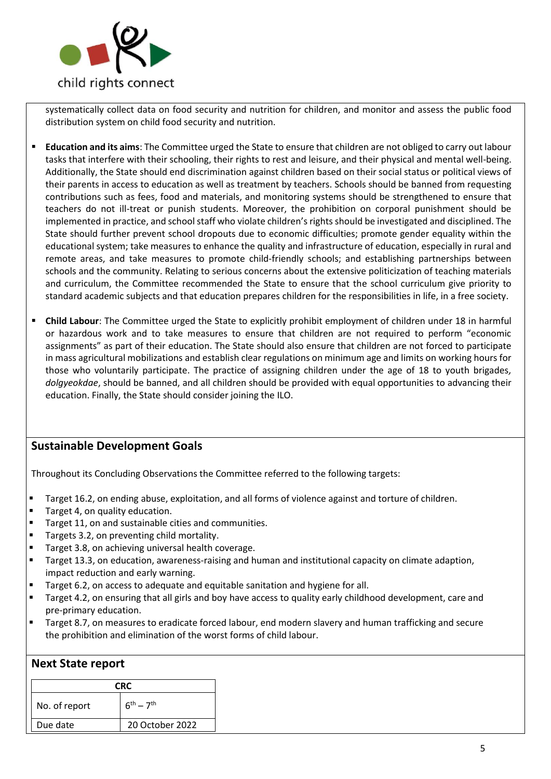

systematically collect data on food security and nutrition for children, and monitor and assess the public food distribution system on child food security and nutrition.

- **Education and its aims**: The Committee urged the State to ensure that children are not obliged to carry out labour tasks that interfere with their schooling, their rights to rest and leisure, and their physical and mental well-being. Additionally, the State should end discrimination against children based on their social status or political views of their parents in access to education as well as treatment by teachers. Schools should be banned from requesting contributions such as fees, food and materials, and monitoring systems should be strengthened to ensure that teachers do not ill-treat or punish students. Moreover, the prohibition on corporal punishment should be implemented in practice, and school staff who violate children's rights should be investigated and disciplined. The State should further prevent school dropouts due to economic difficulties; promote gender equality within the educational system; take measures to enhance the quality and infrastructure of education, especially in rural and remote areas, and take measures to promote child-friendly schools; and establishing partnerships between schools and the community. Relating to serious concerns about the extensive politicization of teaching materials and curriculum, the Committee recommended the State to ensure that the school curriculum give priority to standard academic subjects and that education prepares children for the responsibilities in life, in a free society.
- **Child Labour**: The Committee urged the State to explicitly prohibit employment of children under 18 in harmful or hazardous work and to take measures to ensure that children are not required to perform "economic assignments" as part of their education. The State should also ensure that children are not forced to participate in mass agricultural mobilizations and establish clear regulations on minimum age and limits on working hours for those who voluntarily participate. The practice of assigning children under the age of 18 to youth brigades*, dolgyeokdae*, should be banned, and all children should be provided with equal opportunities to advancing their education. Finally, the State should consider joining the ILO.

# **Sustainable Development Goals**

Throughout its Concluding Observations the Committee referred to the following targets:

- **■** Target 16.2, on ending abuse, exploitation, and all forms of violence against and torture of children.
- Target 4, on quality education.
- Target 11, on and sustainable cities and communities.
- Targets 3.2, on preventing child mortality.
- Target 3.8, on achieving universal health coverage.
- Target 13.3, on education, awareness-raising and human and institutional capacity on climate adaption, impact reduction and early warning.
- Target 6.2, on access to adequate and equitable sanitation and hygiene for all.
- Target 4.2, on ensuring that all girls and boy have access to quality early childhood development, care and pre-primary education.
- Target 8.7, on measures to eradicate forced labour, end modern slavery and human trafficking and secure the prohibition and elimination of the worst forms of child labour.

#### **Next State report**

| CRC.          |                   |
|---------------|-------------------|
| No. of report | $6^{th} - 7^{th}$ |
| Due date      | 20 October 2022   |